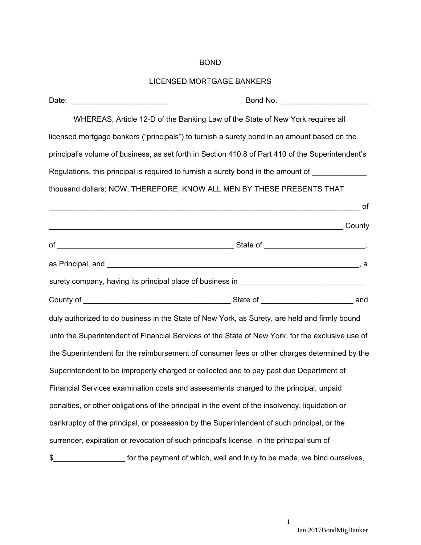## BOND

## LICENSED MORTGAGE BANKERS

| Date:                                                                                           |                                                                                                   |
|-------------------------------------------------------------------------------------------------|---------------------------------------------------------------------------------------------------|
|                                                                                                 | WHEREAS, Article 12-D of the Banking Law of the State of New York requires all                    |
|                                                                                                 | licensed mortgage bankers ("principals") to furnish a surety bond in an amount based on the       |
|                                                                                                 | principal's volume of business, as set forth in Section 410.8 of Part 410 of the Superintendent's |
|                                                                                                 | Regulations, this principal is required to furnish a surety bond in the amount of ____________    |
|                                                                                                 | thousand dollars; NOW, THEREFORE, KNOW ALL MEN BY THESE PRESENTS THAT                             |
|                                                                                                 |                                                                                                   |
|                                                                                                 | county                                                                                            |
|                                                                                                 |                                                                                                   |
|                                                                                                 |                                                                                                   |
|                                                                                                 | surety company, having its principal place of business in ______________________                  |
|                                                                                                 |                                                                                                   |
|                                                                                                 | duly authorized to do business in the State of New York, as Surety, are held and firmly bound     |
|                                                                                                 | unto the Superintendent of Financial Services of the State of New York, for the exclusive use of  |
|                                                                                                 | the Superintendent for the reimbursement of consumer fees or other charges determined by the      |
| Superintendent to be improperly charged or collected and to pay past due Department of          |                                                                                                   |
| Financial Services examination costs and assessments charged to the principal, unpaid           |                                                                                                   |
| penalties, or other obligations of the principal in the event of the insolvency, liquidation or |                                                                                                   |
|                                                                                                 | bankruptcy of the principal, or possession by the Superintendent of such principal, or the        |
|                                                                                                 | surrender, expiration or revocation of such principal's license, in the principal sum of          |
| \$                                                                                              | for the payment of which, well and truly to be made, we bind ourselves,                           |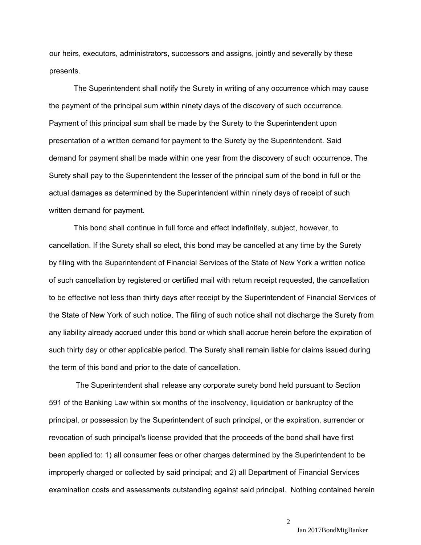our heirs, executors, administrators, successors and assigns, jointly and severally by these presents.

The Superintendent shall notify the Surety in writing of any occurrence which may cause the payment of the principal sum within ninety days of the discovery of such occurrence. Payment of this principal sum shall be made by the Surety to the Superintendent upon presentation of a written demand for payment to the Surety by the Superintendent. Said demand for payment shall be made within one year from the discovery of such occurrence. The Surety shall pay to the Superintendent the lesser of the principal sum of the bond in full or the actual damages as determined by the Superintendent within ninety days of receipt of such written demand for payment.

 the term of this bond and prior to the date of cancellation. This bond shall continue in full force and effect indefinitely, subject, however, to cancellation. If the Surety shall so elect, this bond may be cancelled at any time by the Surety by filing with the Superintendent of Financial Services of the State of New York a written notice of such cancellation by registered or certified mail with return receipt requested, the cancellation to be effective not less than thirty days after receipt by the Superintendent of Financial Services of the State of New York of such notice. The filing of such notice shall not discharge the Surety from any liability already accrued under this bond or which shall accrue herein before the expiration of such thirty day or other applicable period. The Surety shall remain liable for claims issued during

 The Superintendent shall release any corporate surety bond held pursuant to Section 591 of the Banking Law within six months of the insolvency, liquidation or bankruptcy of the principal, or possession by the Superintendent of such principal, or the expiration, surrender or revocation of such principal's license provided that the proceeds of the bond shall have first been applied to: 1) all consumer fees or other charges determined by the Superintendent to be improperly charged or collected by said principal; and 2) all Department of Financial Services examination costs and assessments outstanding against said principal. Nothing contained herein

 $\mathcal{D}$